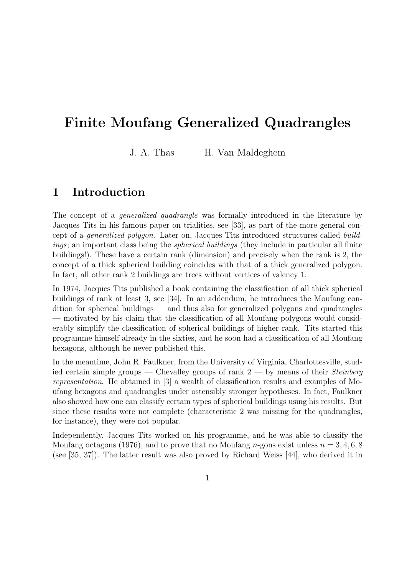# Finite Moufang Generalized Quadrangles

J. A. Thas H. Van Maldeghem

# 1 Introduction

The concept of a *generalized quadrangle* was formally introduced in the literature by Jacques Tits in his famous paper on trialities, see [33], as part of the more general concept of a generalized polygon. Later on, Jacques Tits introduced structures called buildings; an important class being the *spherical buildings* (they include in particular all finite buildings!). These have a certain rank (dimension) and precisely when the rank is 2, the concept of a thick spherical building coincides with that of a thick generalized polygon. In fact, all other rank 2 buildings are trees without vertices of valency 1.

In 1974, Jacques Tits published a book containing the classification of all thick spherical buildings of rank at least 3, see [34]. In an addendum, he introduces the Moufang condition for spherical buildings — and thus also for generalized polygons and quadrangles — motivated by his claim that the classification of all Moufang polygons would considerably simplify the classification of spherical buildings of higher rank. Tits started this programme himself already in the sixties, and he soon had a classification of all Moufang hexagons, although he never published this.

In the meantime, John R. Faulkner, from the University of Virginia, Charlottesville, studied certain simple groups — Chevalley groups of rank  $2$  — by means of their *Steinberg* representation. He obtained in [3] a wealth of classification results and examples of Moufang hexagons and quadrangles under ostensibly stronger hypotheses. In fact, Faulkner also showed how one can classify certain types of spherical buildings using his results. But since these results were not complete (characteristic 2 was missing for the quadrangles, for instance), they were not popular.

Independently, Jacques Tits worked on his programme, and he was able to classify the Moufang octagons (1976), and to prove that no Moufang *n*-gons exist unless  $n = 3, 4, 6, 8$ (see [35, 37]). The latter result was also proved by Richard Weiss [44], who derived it in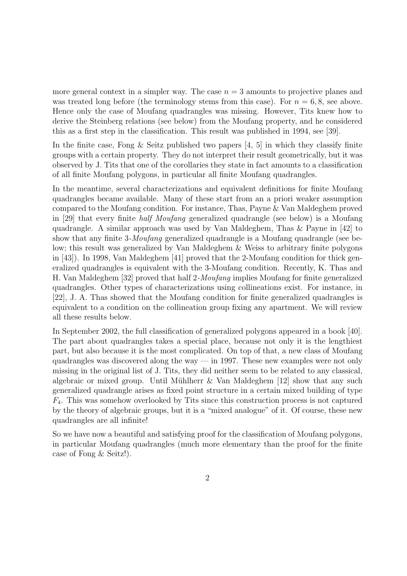more general context in a simpler way. The case  $n = 3$  amounts to projective planes and was treated long before (the terminology stems from this case). For  $n = 6, 8$ , see above. Hence only the case of Moufang quadrangles was missing. However, Tits knew how to derive the Steinberg relations (see below) from the Moufang property, and he considered this as a first step in the classification. This result was published in 1994, see [39].

In the finite case, Fong  $\&$  Seitz published two papers [4, 5] in which they classify finite groups with a certain property. They do not interpret their result geometrically, but it was observed by J. Tits that one of the corollaries they state in fact amounts to a classification of all finite Moufang polygons, in particular all finite Moufang quadrangles.

In the meantime, several characterizations and equivalent definitions for finite Moufang quadrangles became available. Many of these start from an a priori weaker assumption compared to the Moufang condition. For instance, Thas, Payne & Van Maldeghem proved in [29] that every finite half Moufang generalized quadrangle (see below) is a Moufang quadrangle. A similar approach was used by Van Maldeghem, Thas & Payne in [42] to show that any finite 3-Moufang generalized quadrangle is a Moufang quadrangle (see below; this result was generalized by Van Maldeghem & Weiss to arbitrary finite polygons in [43]). In 1998, Van Maldeghem [41] proved that the 2-Moufang condition for thick generalized quadrangles is equivalent with the 3-Moufang condition. Recently, K. Thas and H. Van Maldeghem [32] proved that half 2-Moufang implies Moufang for finite generalized quadrangles. Other types of characterizations using collineations exist. For instance, in [22], J. A. Thas showed that the Moufang condition for finite generalized quadrangles is equivalent to a condition on the collineation group fixing any apartment. We will review all these results below.

In September 2002, the full classification of generalized polygons appeared in a book [40]. The part about quadrangles takes a special place, because not only it is the lengthiest part, but also because it is the most complicated. On top of that, a new class of Moufang quadrangles was discovered along the way  $-$  in 1997. These new examples were not only missing in the original list of J. Tits, they did neither seem to be related to any classical, algebraic or mixed group. Until Mühlherr  $\&$  Van Maldeghem [12] show that any such generalized quadrangle arises as fixed point structure in a certain mixed building of type  $F_4$ . This was somehow overlooked by Tits since this construction process is not captured by the theory of algebraic groups, but it is a "mixed analogue" of it. Of course, these new quadrangles are all infinite!

So we have now a beautiful and satisfying proof for the classification of Moufang polygons, in particular Moufang quadrangles (much more elementary than the proof for the finite case of Fong & Seitz!).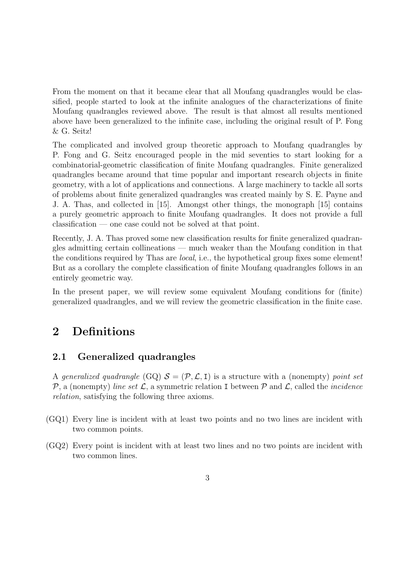From the moment on that it became clear that all Moufang quadrangles would be classified, people started to look at the infinite analogues of the characterizations of finite Moufang quadrangles reviewed above. The result is that almost all results mentioned above have been generalized to the infinite case, including the original result of P. Fong & G. Seitz!

The complicated and involved group theoretic approach to Moufang quadrangles by P. Fong and G. Seitz encouraged people in the mid seventies to start looking for a combinatorial-geometric classification of finite Moufang quadrangles. Finite generalized quadrangles became around that time popular and important research objects in finite geometry, with a lot of applications and connections. A large machinery to tackle all sorts of problems about finite generalized quadrangles was created mainly by S. E. Payne and J. A. Thas, and collected in [15]. Amongst other things, the monograph [15] contains a purely geometric approach to finite Moufang quadrangles. It does not provide a full classification — one case could not be solved at that point.

Recently, J. A. Thas proved some new classification results for finite generalized quadrangles admitting certain collineations — much weaker than the Moufang condition in that the conditions required by Thas are local, i.e., the hypothetical group fixes some element! But as a corollary the complete classification of finite Moufang quadrangles follows in an entirely geometric way.

In the present paper, we will review some equivalent Moufang conditions for (finite) generalized quadrangles, and we will review the geometric classification in the finite case.

# 2 Definitions

### 2.1 Generalized quadrangles

A generalized quadrangle (GQ)  $S = (\mathcal{P}, \mathcal{L}, I)$  is a structure with a (nonempty) point set  $P$ , a (nonempty) line set  $\mathcal{L}$ , a symmetric relation I between  $P$  and  $\mathcal{L}$ , called the *incidence* relation, satisfying the following three axioms.

- (GQ1) Every line is incident with at least two points and no two lines are incident with two common points.
- (GQ2) Every point is incident with at least two lines and no two points are incident with two common lines.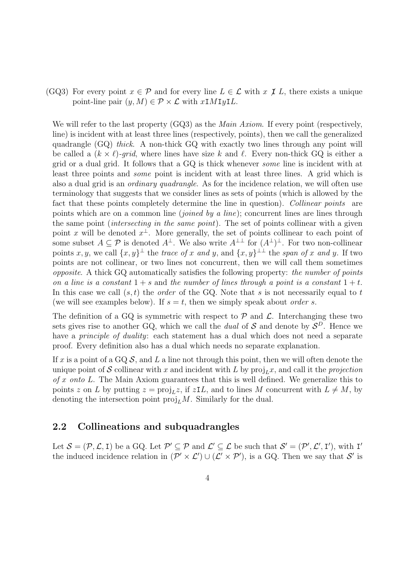(GQ3) For every point  $x \in \mathcal{P}$  and for every line  $L \in \mathcal{L}$  with  $x \not\in L$ , there exists a unique point-line pair  $(y, M) \in \mathcal{P} \times \mathcal{L}$  with  $x \in M I y L$ .

We will refer to the last property (GQ3) as the *Main Axiom*. If every point (respectively, line) is incident with at least three lines (respectively, points), then we call the generalized quadrangle (GQ) thick. A non-thick GQ with exactly two lines through any point will be called a  $(k \times \ell)$ -grid, where lines have size k and  $\ell$ . Every non-thick GQ is either a grid or a dual grid. It follows that a GQ is thick whenever some line is incident with at least three points and some point is incident with at least three lines. A grid which is also a dual grid is an ordinary quadrangle. As for the incidence relation, we will often use terminology that suggests that we consider lines as sets of points (which is allowed by the fact that these points completely determine the line in question). Collinear points are points which are on a common line *(joined by a line)*; concurrent lines are lines through the same point (intersecting in the same point). The set of points collinear with a given point x will be denoted  $x^{\perp}$ . More generally, the set of points collinear to each point of some subset  $A \subseteq \mathcal{P}$  is denoted  $A^{\perp}$ . We also write  $A^{\perp\perp}$  for  $(A^{\perp})^{\perp}$ . For two non-collinear points x, y, we call  $\{x, y\}^{\perp}$  the trace of x and y, and  $\{x, y\}^{\perp\perp}$  the span of x and y. If two points are not collinear, or two lines not concurrent, then we will call them sometimes opposite. A thick GQ automatically satisfies the following property: the number of points on a line is a constant  $1 + s$  and the number of lines through a point is a constant  $1 + t$ . In this case we call  $(s, t)$  the *order* of the GQ. Note that s is not necessarily equal to t (we will see examples below). If  $s = t$ , then we simply speak about order s.

The definition of a GQ is symmetric with respect to  $P$  and  $\mathcal{L}$ . Interchanging these two sets gives rise to another GQ, which we call the *dual* of S and denote by  $S<sup>D</sup>$ . Hence we have a *principle of duality*: each statement has a dual which does not need a separate proof. Every definition also has a dual which needs no separate explanation.

If x is a point of a GQ  $S$ , and L a line not through this point, then we will often denote the unique point of S collinear with x and incident with L by  $proj_L x$ , and call it the projection of x onto L. The Main Axiom guarantees that this is well defined. We generalize this to points z on L by putting  $z = \text{proj}_L z$ , if  $zL$ , and to lines M concurrent with  $L \neq M$ , by denoting the intersection point  $proj_L M$ . Similarly for the dual.

### 2.2 Collineations and subquadrangles

Let  $S = (\mathcal{P}, \mathcal{L}, I)$  be a GQ. Let  $\mathcal{P}' \subseteq \mathcal{P}$  and  $\mathcal{L}' \subseteq \mathcal{L}$  be such that  $\mathcal{S}' = (\mathcal{P}', \mathcal{L}', I')$ , with I' the induced incidence relation in  $(\mathcal{P}' \times \mathcal{L}') \cup (\mathcal{L}' \times \mathcal{P}')$ , is a GQ. Then we say that  $\mathcal{S}'$  is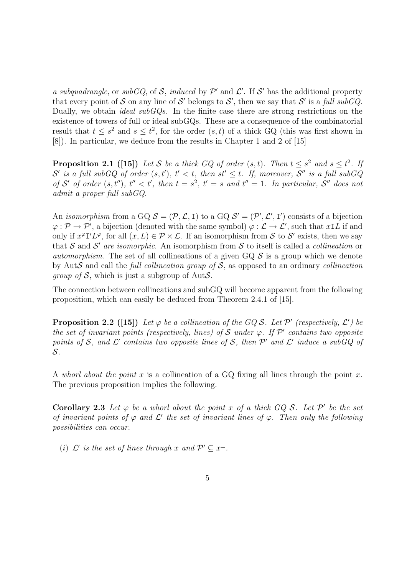a subquadrangle, or subGQ, of S, induced by  $\mathcal{P}'$  and  $\mathcal{L}'$ . If S' has the additional property that every point of S on any line of S' belongs to S', then we say that S' is a full subGQ. Dually, we obtain *ideal subGQs*. In the finite case there are strong restrictions on the existence of towers of full or ideal subGQs. These are a consequence of the combinatorial result that  $t \leq s^2$  and  $s \leq t^2$ , for the order  $(s,t)$  of a thick GQ (this was first shown in [8]). In particular, we deduce from the results in Chapter 1 and 2 of [15]

**Proposition 2.1** ([15]) Let S be a thick GQ of order  $(s,t)$ . Then  $t \leq s^2$  and  $s \leq t^2$ . If  $\mathcal{S}'$  is a full subGQ of order  $(s,t'), t' < t$ , then  $st' \leq t$ . If, moreover,  $\mathcal{S}''$  is a full subGQ of S' of order  $(s, t'')$ ,  $t'' < t'$ , then  $t = s^2$ ,  $t' = s$  and  $t'' = 1$ . In particular, S'' does not admit a proper full subGQ.

An *isomorphism* from a GQ  $S = (\mathcal{P}, \mathcal{L}, I)$  to a GQ  $S' = (\mathcal{P}', \mathcal{L}', I')$  consists of a bijection  $\varphi : \mathcal{P} \to \mathcal{P}'$ , a bijection (denoted with the same symbol)  $\varphi : \mathcal{L} \to \mathcal{L}'$ , such that  $xL$  if and only if  $x^{\varphi}I'L^{\varphi}$ , for all  $(x, L) \in \mathcal{P} \times \mathcal{L}$ . If an isomorphism from S to S' exists, then we say that S and S' are isomorphic. An isomorphism from S to itself is called a collineation or *automorphism*. The set of all collineations of a given  $GQ \mathcal{S}$  is a group which we denote by AutS and call the full collineation group of  $S$ , as opposed to an ordinary collineation *group of*  $S$ , which is just a subgroup of Aut $S$ .

The connection between collineations and subGQ will become apparent from the following proposition, which can easily be deduced from Theorem 2.4.1 of [15].

**Proposition 2.2** ([15]) Let  $\varphi$  be a collineation of the GQ S. Let P' (respectively,  $\mathcal{L}'$ ) be the set of invariant points (respectively, lines) of S under  $\varphi$ . If  $\mathcal{P}'$  contains two opposite points of S, and L' contains two opposite lines of S, then  $\mathcal{P}'$  and L' induce a subGQ of S.

A whorl about the point x is a collineation of a GQ fixing all lines through the point x. The previous proposition implies the following.

Corollary 2.3 Let  $\varphi$  be a whorl about the point x of a thick GQ S. Let  $\mathcal{P}'$  be the set of invariant points of  $\varphi$  and  $\mathcal{L}'$  the set of invariant lines of  $\varphi$ . Then only the following possibilities can occur.

(i)  $\mathcal{L}'$  is the set of lines through x and  $\mathcal{P}' \subseteq x^{\perp}$ .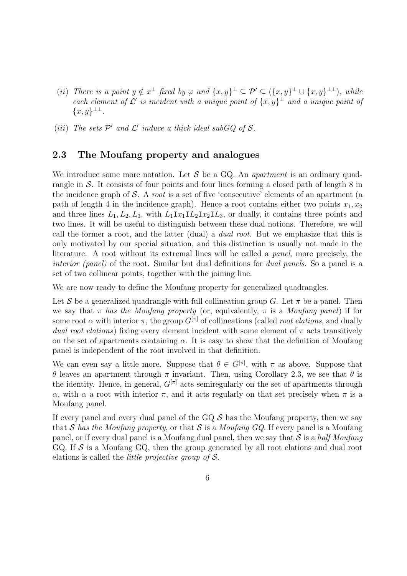- (ii) There is a point  $y \notin x^{\perp}$  fixed by  $\varphi$  and  $\{x, y\}^{\perp} \subseteq \mathcal{P}' \subseteq (\{x, y\}^{\perp} \cup \{x, y\}^{\perp\perp})$ , while each element of  $\mathcal{L}'$  is incident with a unique point of  $\{x, y\}^{\perp}$  and a unique point of  ${x, y}^{\perp\perp}.$
- (iii) The sets  $\mathcal{P}'$  and  $\mathcal{L}'$  induce a thick ideal subGQ of S.

## 2.3 The Moufang property and analogues

We introduce some more notation. Let  $S$  be a GQ. An *apartment* is an ordinary quadrangle in S. It consists of four points and four lines forming a closed path of length 8 in the incidence graph of  $S$ . A *root* is a set of five 'consecutive' elements of an apartment (a path of length 4 in the incidence graph). Hence a root contains either two points  $x_1, x_2$ and three lines  $L_1, L_2, L_3$ , with  $L_1 I x_1 I L_2 I x_2 I L_3$ , or dually, it contains three points and two lines. It will be useful to distinguish between these dual notions. Therefore, we will call the former a root, and the latter (dual) a *dual root*. But we emphasize that this is only motivated by our special situation, and this distinction is usually not made in the literature. A root without its extremal lines will be called a panel, more precisely, the interior (panel) of the root. Similar but dual definitions for *dual panels*. So a panel is a set of two collinear points, together with the joining line.

We are now ready to define the Moufang property for generalized quadrangles.

Let S be a generalized quadrangle with full collineation group G. Let  $\pi$  be a panel. Then we say that  $\pi$  has the Moufang property (or, equivalently,  $\pi$  is a Moufang panel) if for some root  $\alpha$  with interior  $\pi$ , the group  $G^{[\pi]}$  of collineations (called *root elations*, and dually dual root elations) fixing every element incident with some element of  $\pi$  acts transitively on the set of apartments containing  $\alpha$ . It is easy to show that the definition of Moufang panel is independent of the root involved in that definition.

We can even say a little more. Suppose that  $\theta \in G^{[\pi]}$ , with  $\pi$  as above. Suppose that θ leaves an apartment through π invariant. Then, using Corollary 2.3, we see that θ is the identity. Hence, in general,  $G^{[\pi]}$  acts semiregularly on the set of apartments through α, with α a root with interior π, and it acts regularly on that set precisely when π is a Moufang panel.

If every panel and every dual panel of the  $GQ \mathcal{S}$  has the Moufang property, then we say that S has the Moufang property, or that S is a Moufang GQ. If every panel is a Moufang panel, or if every dual panel is a Moufang dual panel, then we say that  $\mathcal S$  is a half Moufang GQ. If  $\mathcal S$  is a Moufang GQ, then the group generated by all root elations and dual root elations is called the *little projective group of*  $S$ .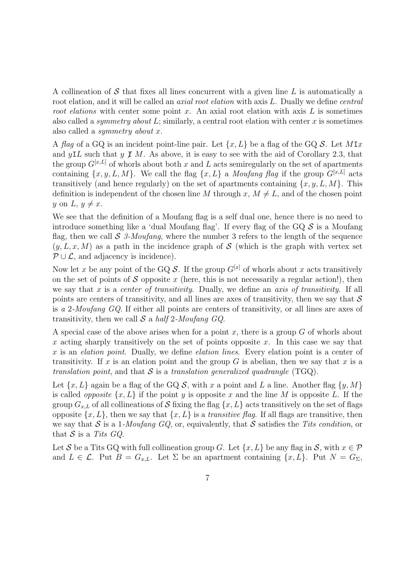A collineation of S that fixes all lines concurrent with a given line L is automatically a root elation, and it will be called an *axial root elation* with axis L. Dually we define *central* root elations with center some point x. An axial root elation with axis  $L$  is sometimes also called a *symmetry about*  $L$ ; similarly, a central root elation with center  $x$  is sometimes also called a symmetry about x.

A flag of a GQ is an incident point-line pair. Let  $\{x, L\}$  be a flag of the GQ S. Let MIx and yIL such that y  $\cancel{I}$  M. As above, it is easy to see with the aid of Corollary 2.3, that the group  $G^{[x,L]}$  of whorls about both x and L acts semiregularly on the set of apartments containing  $\{x, y, L, M\}$ . We call the flag  $\{x, L\}$  a *Moufang flag* if the group  $G^{[x,L]}$  acts transitively (and hence regularly) on the set of apartments containing  $\{x, y, L, M\}$ . This definition is independent of the chosen line M through  $x, M \neq L$ , and of the chosen point y on L,  $y \neq x$ .

We see that the definition of a Moufang flag is a self dual one, hence there is no need to introduce something like a 'dual Moufang flag'. If every flag of the  $GQ \mathcal{S}$  is a Moufang flag, then we call  $\mathcal S$  3-Moufang, where the number 3 refers to the length of the sequence  $(y, L, x, M)$  as a path in the incidence graph of S (which is the graph with vertex set  $P \cup \mathcal{L}$ , and adjacency is incidence).

Now let x be any point of the GQ  $S$ . If the group  $G^{[x]}$  of whorls about x acts transitively on the set of points of S opposite x (here, this is not necessarily a regular action!), then we say that x is a center of transitivity. Dually, we define an axis of transitivity. If all points are centers of transitivity, and all lines are axes of transitivity, then we say that  $\mathcal S$ is a 2-Moufang GQ. If either all points are centers of transitivity, or all lines are axes of transitivity, then we call  $S$  a half 2-Moufang GQ.

A special case of the above arises when for a point  $x$ , there is a group  $G$  of whorls about x acting sharply transitively on the set of points opposite x. In this case we say that x is an *elation point*. Dually, we define *elation lines*. Every elation point is a center of transitivity. If x is an elation point and the group  $G$  is abelian, then we say that x is a translation point, and that  $S$  is a translation generalized quadrangle (TGQ).

Let  $\{x, L\}$  again be a flag of the GQ S, with x a point and L a line. Another flag  $\{y, M\}$ is called *opposite*  $\{x, L\}$  if the point y is opposite x and the line M is opposite L. If the group  $G_{x,L}$  of all collineations of S fixing the flag  $\{x, L\}$  acts transitively on the set of flags opposite  $\{x, L\}$ , then we say that  $\{x, L\}$  is a *transitive flag*. If all flags are transitive, then we say that S is a 1-Moufang  $GQ$ , or, equivalently, that S satisfies the Tits condition, or that  $S$  is a Tits  $GQ$ .

Let S be a Tits GQ with full collineation group G. Let  $\{x, L\}$  be any flag in S, with  $x \in \mathcal{P}$ and  $L \in \mathcal{L}$ . Put  $B = G_{x,L}$ . Let  $\Sigma$  be an apartment containing  $\{x, L\}$ . Put  $N = G_{\Sigma}$ ,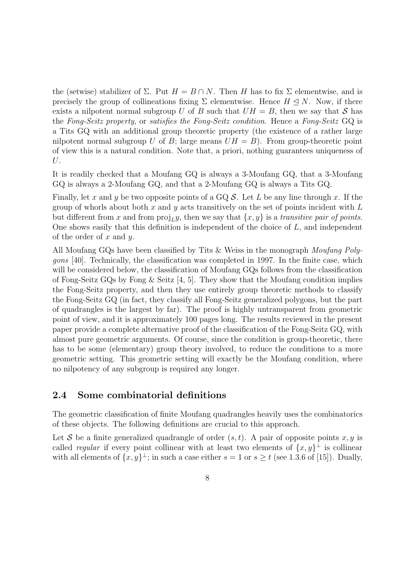the (setwise) stabilizer of  $\Sigma$ . Put  $H = B \cap N$ . Then H has to fix  $\Sigma$  elementwise, and is precisely the group of collineations fixing  $\Sigma$  elementwise. Hence  $H \triangleleft N$ . Now, if there exists a nilpotent normal subgroup U of B such that  $UH = B$ , then we say that S has the Fong-Seitz property, or satisfies the Fong-Seitz condition. Hence a Fong-Seitz GQ is a Tits GQ with an additional group theoretic property (the existence of a rather large nilpotent normal subgroup U of B; large means  $UH = B$ ). From group-theoretic point of view this is a natural condition. Note that, a priori, nothing guarantees uniqueness of U.

It is readily checked that a Moufang GQ is always a 3-Moufang GQ, that a 3-Moufang GQ is always a 2-Moufang GQ, and that a 2-Moufang GQ is always a Tits GQ.

Finally, let x and y be two opposite points of a GQ  $S$ . Let L be any line through x. If the group of whorls about both  $x$  and  $y$  acts transitively on the set of points incident with  $L$ but different from x and from  $proj_L y$ , then we say that  $\{x, y\}$  is a transitive pair of points. One shows easily that this definition is independent of the choice of L, and independent of the order of  $x$  and  $y$ .

All Moufang GQs have been classified by Tits & Weiss in the monograph Moufang Polygons [40]. Technically, the classification was completed in 1997. In the finite case, which will be considered below, the classification of Moufang GQs follows from the classification of Fong-Seitz GQs by Fong & Seitz [4, 5]. They show that the Moufang condition implies the Fong-Seitz property, and then they use entirely group theoretic methods to classify the Fong-Seitz GQ (in fact, they classify all Fong-Seitz generalized polygons, but the part of quadrangles is the largest by far). The proof is highly untransparent from geometric point of view, and it is approximately 100 pages long. The results reviewed in the present paper provide a complete alternative proof of the classification of the Fong-Seitz GQ, with almost pure geometric arguments. Of course, since the condition is group-theoretic, there has to be some (elementary) group theory involved, to reduce the conditions to a more geometric setting. This geometric setting will exactly be the Moufang condition, where no nilpotency of any subgroup is required any longer.

### 2.4 Some combinatorial definitions

The geometric classification of finite Moufang quadrangles heavily uses the combinatorics of these objects. The following definitions are crucial to this approach.

Let S be a finite generalized quadrangle of order  $(s,t)$ . A pair of opposite points x, y is called *regular* if every point collinear with at least two elements of  $\{x, y\}^{\perp}$  is collinear with all elements of  $\{x, y\}^{\perp}$ ; in such a case either  $s = 1$  or  $s \ge t$  (see 1.3.6 of [15]). Dually,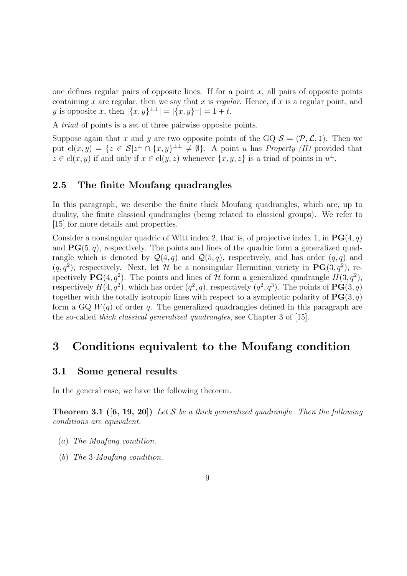one defines regular pairs of opposite lines. If for a point  $x$ , all pairs of opposite points containing x are regular, then we say that x is regular. Hence, if x is a regular point, and y is opposite x, then  $|\{x,y\}^{\perp\perp}| = |\{x,y\}^{\perp}| = 1 + t$ .

A triad of points is a set of three pairwise opposite points.

Suppose again that x and y are two opposite points of the GQ  $S = (\mathcal{P}, \mathcal{L}, I)$ . Then we put  $cl(x,y) = \{z \in \mathcal{S} | z^{\perp} \cap \{x,y\}^{\perp} \neq \emptyset\}$ . A point u has *Property* (*H*) provided that  $z \in cl(x, y)$  if and only if  $x \in cl(y, z)$  whenever  $\{x, y, z\}$  is a triad of points in  $u^{\perp}$ .

#### 2.5 The finite Moufang quadrangles

In this paragraph, we describe the finite thick Moufang quadrangles, which are, up to duality, the finite classical quadrangles (being related to classical groups). We refer to [15] for more details and properties.

Consider a nonsingular quadric of Witt index 2, that is, of projective index 1, in  $\mathbf{PG}(4,q)$ and  $PG(5, q)$ , respectively. The points and lines of the quadric form a generalized quadrangle which is denoted by  $\mathcal{Q}(4,q)$  and  $\mathcal{Q}(5,q)$ , respectively, and has order  $(q,q)$  and  $(q, q^2)$ , respectively. Next, let H be a nonsingular Hermitian variety in  $\text{PG}(3, q^2)$ , respectively  $\text{PG}(4, q^2)$ . The points and lines of H form a generalized quadrangle  $H(3, q^2)$ , respectively  $H(4, q^2)$ , which has order  $(q^2, q)$ , respectively  $(q^2, q^3)$ . The points of  $\mathbf{PG}(3, q)$ together with the totally isotropic lines with respect to a symplectic polarity of  $\text{PG}(3, q)$ form a GQ  $W(q)$  of order q. The generalized quadrangles defined in this paragraph are the so-called thick classical generalized quadrangles, see Chapter 3 of [15].

## 3 Conditions equivalent to the Moufang condition

#### 3.1 Some general results

In the general case, we have the following theorem.

**Theorem 3.1** ([6, 19, 20]) Let S be a thick generalized quadrangle. Then the following conditions are equivalent.

- (a) The Moufang condition.
- (b) The 3-Moufang condition.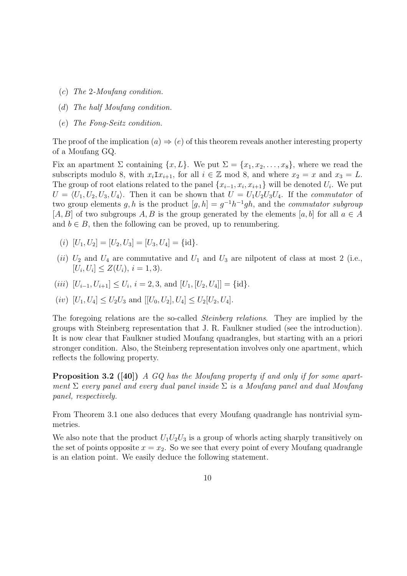- (c) The 2-Moufang condition.
- (d) The half Moufang condition.
- (e) The Fong-Seitz condition.

The proof of the implication  $(a) \Rightarrow (e)$  of this theorem reveals another interesting property of a Moufang GQ.

Fix an apartment  $\Sigma$  containing  $\{x, L\}$ . We put  $\Sigma = \{x_1, x_2, \ldots, x_8\}$ , where we read the subscripts modulo 8, with  $x_i \text{I} x_{i+1}$ , for all  $i \in \mathbb{Z}$  mod 8, and where  $x_2 = x$  and  $x_3 = L$ . The group of root elations related to the panel  $\{x_{i-1}, x_i, x_{i+1}\}\$  will be denoted  $U_i$ . We put  $U = \langle U_1, U_2, U_3, U_4 \rangle$ . Then it can be shown that  $U = U_1 U_2 U_3 U_4$ . If the *commutator* of two group elements g, h is the product  $[q, h] = q^{-1}h^{-1}gh$ , and the *commutator subgroup* [A, B] of two subgroups A, B is the group generated by the elements [a, b] for all  $a \in A$ and  $b \in B$ , then the following can be proved, up to renumbering.

- (i)  $[U_1, U_2] = [U_2, U_3] = [U_3, U_4] = \{\mathrm{id}\}.$
- (ii)  $U_2$  and  $U_4$  are commutative and  $U_1$  and  $U_3$  are nilpotent of class at most 2 (i.e.,  $[U_i, U_i] \leq Z(U_i), i = 1, 3$ .

$$
(iii)
$$
  $[U_{i-1}, U_{i+1}] \leq U_i$ ,  $i = 2, 3$ , and  $[U_1, [U_2, U_4]] = \{\text{id}\}.$ 

(*iv*) 
$$
[U_1, U_4] \le U_2 U_3
$$
 and  $[[U_0, U_2], U_4] \le U_2[U_2, U_4]$ .

The foregoing relations are the so-called *Steinberg relations*. They are implied by the groups with Steinberg representation that J. R. Faulkner studied (see the introduction). It is now clear that Faulkner studied Moufang quadrangles, but starting with an a priori stronger condition. Also, the Steinberg representation involves only one apartment, which reflects the following property.

**Proposition 3.2** ([40]) A GQ has the Moufang property if and only if for some apartment  $\Sigma$  every panel and every dual panel inside  $\Sigma$  is a Moufang panel and dual Moufang panel, respectively.

From Theorem 3.1 one also deduces that every Moufang quadrangle has nontrivial symmetries.

We also note that the product  $U_1U_2U_3$  is a group of whorls acting sharply transitively on the set of points opposite  $x = x_2$ . So we see that every point of every Moufang quadrangle is an elation point. We easily deduce the following statement.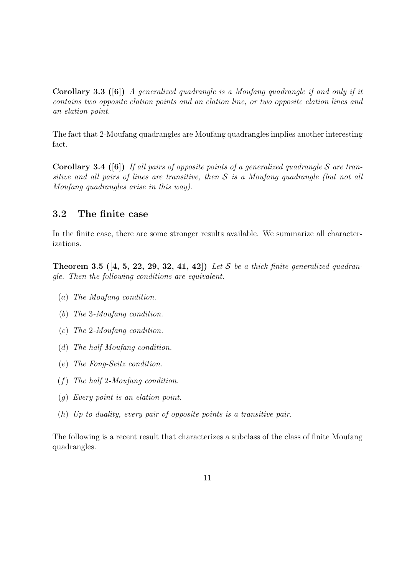**Corollary 3.3** ([6]) A generalized quadrangle is a Moufang quadrangle if and only if it contains two opposite elation points and an elation line, or two opposite elation lines and an elation point.

The fact that 2-Moufang quadrangles are Moufang quadrangles implies another interesting fact.

**Corollary 3.4** ([6]) If all pairs of opposite points of a generalized quadrangle S are transitive and all pairs of lines are transitive, then  $S$  is a Moufang quadrangle (but not all Moufang quadrangles arise in this way).

### 3.2 The finite case

In the finite case, there are some stronger results available. We summarize all characterizations.

**Theorem 3.5** ([4, 5, 22, 29, 32, 41, 42]) Let S be a thick finite generalized quadrangle. Then the following conditions are equivalent.

- (a) The Moufang condition.
- (b) The 3-Moufang condition.
- (c) The 2-Moufang condition.
- (d) The half Moufang condition.
- (e) The Fong-Seitz condition.
- (f) The half 2-Moufang condition.
- (g) Every point is an elation point.
- (h) Up to duality, every pair of opposite points is a transitive pair.

The following is a recent result that characterizes a subclass of the class of finite Moufang quadrangles.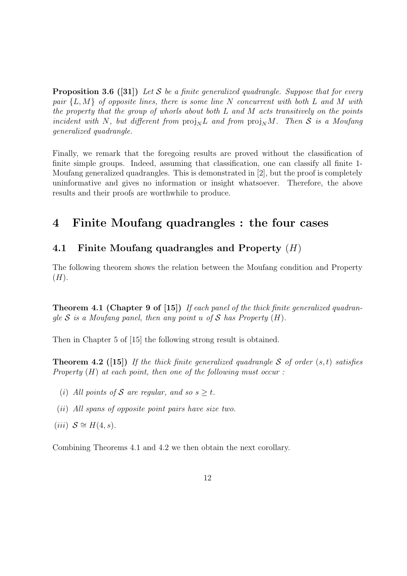**Proposition 3.6 ([31])** Let S be a finite generalized quadrangle. Suppose that for every pair  $\{L, M\}$  of opposite lines, there is some line N concurrent with both L and M with the property that the group of whorls about both  $L$  and  $M$  acts transitively on the points incident with N, but different from  $proj_N L$  and from  $proj_N M$ . Then S is a Moufang generalized quadrangle.

Finally, we remark that the foregoing results are proved without the classification of finite simple groups. Indeed, assuming that classification, one can classify all finite 1- Moufang generalized quadrangles. This is demonstrated in [2], but the proof is completely uninformative and gives no information or insight whatsoever. Therefore, the above results and their proofs are worthwhile to produce.

# 4 Finite Moufang quadrangles : the four cases

## 4.1 Finite Moufang quadrangles and Property  $(H)$

The following theorem shows the relation between the Moufang condition and Property  $(H).$ 

**Theorem 4.1 (Chapter 9 of [15])** If each panel of the thick finite generalized quadrangle S is a Moufang panel, then any point u of S has Property  $(H)$ .

Then in Chapter 5 of [15] the following strong result is obtained.

**Theorem 4.2** ([15]) If the thick finite generalized quadrangle S of order  $(s,t)$  satisfies Property  $(H)$  at each point, then one of the following must occur:

- (i) All points of S are regular, and so  $s \geq t$ .
- (ii) All spans of opposite point pairs have size two.
- (iii)  $S \cong H(4, s)$ .

Combining Theorems 4.1 and 4.2 we then obtain the next corollary.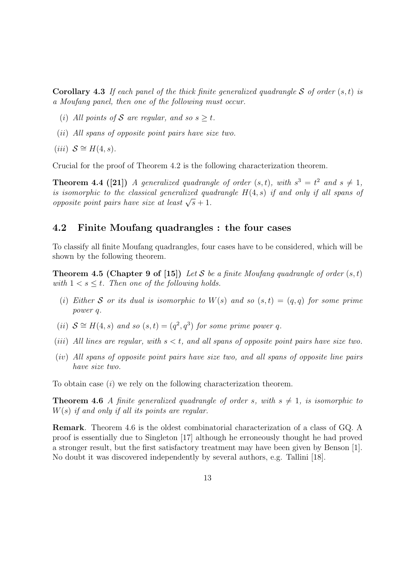**Corollary 4.3** If each panel of the thick finite generalized quadrangle S of order  $(s,t)$  is a Moufang panel, then one of the following must occur.

- (i) All points of S are regular, and so  $s > t$ .
- (ii) All spans of opposite point pairs have size two.
- (iii)  $S \cong H(4, s)$ .

Crucial for the proof of Theorem 4.2 is the following characterization theorem.

**Theorem 4.4 ([21])** A generalized quadrangle of order  $(s,t)$ , with  $s^3 = t^2$  and  $s \neq 1$ , is isomorphic to the classical generalized quadrangle  $H(4, s)$  if and only if all spans of opposite point pairs have size at least  $\sqrt{s}+1$ .

### 4.2 Finite Moufang quadrangles : the four cases

To classify all finite Moufang quadrangles, four cases have to be considered, which will be shown by the following theorem.

**Theorem 4.5 (Chapter 9 of [15])** Let S be a finite Moufang quadrangle of order  $(s,t)$ with  $1 \leq s \leq t$ . Then one of the following holds.

- (i) Either S or its dual is isomorphic to  $W(s)$  and so  $(s,t) = (q,q)$  for some prime power q.
- (ii)  $S \cong H(4, s)$  and so  $(s, t) = (q^2, q^3)$  for some prime power q.
- (iii) All lines are regular, with  $s < t$ , and all spans of opposite point pairs have size two.
- (iv) All spans of opposite point pairs have size two, and all spans of opposite line pairs have size two.

To obtain case (i) we rely on the following characterization theorem.

**Theorem 4.6** A finite generalized quadrangle of order s, with  $s \neq 1$ , is isomorphic to  $W(s)$  if and only if all its points are regular.

Remark. Theorem 4.6 is the oldest combinatorial characterization of a class of GQ. A proof is essentially due to Singleton [17] although he erroneously thought he had proved a stronger result, but the first satisfactory treatment may have been given by Benson [1]. No doubt it was discovered independently by several authors, e.g. Tallini [18].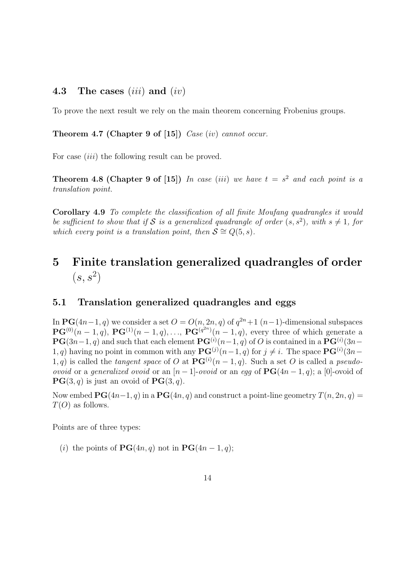### 4.3 The cases  $(iii)$  and  $(iv)$

To prove the next result we rely on the main theorem concerning Frobenius groups.

Theorem 4.7 (Chapter 9 of [15])  $Case (iv)$  cannot occur.

For case *(iii)* the following result can be proved.

**Theorem 4.8 (Chapter 9 of [15])** In case (iii) we have  $t = s^2$  and each point is a translation point.

Corollary 4.9 To complete the classification of all finite Moufang quadrangles it would be sufficient to show that if S is a generalized quadrangle of order  $(s, s^2)$ , with  $s \neq 1$ , for which every point is a translation point, then  $S \cong Q(5, s)$ .

# 5 Finite translation generalized quadrangles of order  $(s, s^2)$

#### 5.1 Translation generalized quadrangles and eggs

In  $\text{PG}(4n-1, q)$  we consider a set  $O = O(n, 2n, q)$  of  $q^{2n} + 1$   $(n-1)$ -dimensional subspaces  $\mathbf{PG}^{(0)}(n-1, q)$ ,  $\mathbf{PG}^{(1)}(n-1, q)$ , ...,  $\mathbf{PG}^{(q^{2n})}(n-1, q)$ , every three of which generate a  $\mathbf{PG}(3n-1, q)$  and such that each element  $\mathbf{PG}^{(i)}(n-1, q)$  of O is contained in a  $\mathbf{PG}^{(i)}(3n-1, q)$ 1, q) having no point in common with any  $\mathbf{PG}^{(j)}(n-1, q)$  for  $j \neq i$ . The space  $\mathbf{PG}^{(i)}(3n-1, q)$ 1, q) is called the tangent space of O at  $\mathbf{PG}^{(i)}(n-1,q)$ . Such a set O is called a pseudo*ovoid* or a *generalized ovoid* or an  $[n-1]$ -*ovoid* or an egg of  $\text{PG}(4n-1, q)$ ; a [0]-ovoid of  $PG(3, q)$  is just an ovoid of  $PG(3, q)$ .

Now embed  $\mathbf{PG}(4n-1, q)$  in a  $\mathbf{PG}(4n, q)$  and construct a point-line geometry  $T(n, 2n, q) =$  $T(O)$  as follows.

Points are of three types:

(i) the points of  $\textbf{PG}(4n, q)$  not in  $\textbf{PG}(4n - 1, q)$ ;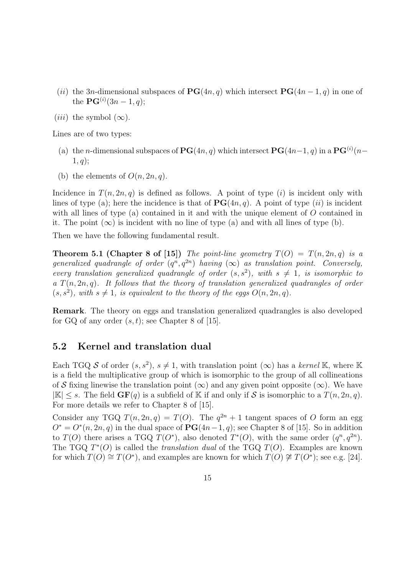- (ii) the 3n-dimensional subspaces of  $\textbf{PG}(4n, q)$  which intersect  $\textbf{PG}(4n-1, q)$  in one of the  $\mathbf{PG}^{(i)}(3n-1,q);$
- (*iii*) the symbol  $(\infty)$ .

Lines are of two types:

- (a) the *n*-dimensional subspaces of  $PG(4n, q)$  which intersect  $PG(4n-1, q)$  in a  $PG^{(i)}(n-1)$  $1, q);$
- (b) the elements of  $O(n, 2n, q)$ .

Incidence in  $T(n, 2n, q)$  is defined as follows. A point of type (i) is incident only with lines of type (a); here the incidence is that of  $\mathbf{PG}(4n, q)$ . A point of type (ii) is incident with all lines of type (a) contained in it and with the unique element of  $O$  contained in it. The point  $(\infty)$  is incident with no line of type (a) and with all lines of type (b).

Then we have the following fundamental result.

**Theorem 5.1 (Chapter 8 of [15])** The point-line geometry  $T(O) = T(n, 2n, q)$  is a generalized quadrangle of order  $(q^n, q^{2n})$  having  $(\infty)$  as translation point. Conversely, every translation generalized quadrangle of order  $(s, s^2)$ , with  $s \neq 1$ , is isomorphic to a  $T(n, 2n, q)$ . It follows that the theory of translation generalized quadrangles of order  $(s, s^2)$ , with  $s \neq 1$ , is equivalent to the theory of the eggs  $O(n, 2n, q)$ .

Remark. The theory on eggs and translation generalized quadrangles is also developed for GQ of any order  $(s,t)$ ; see Chapter 8 of [15].

#### 5.2 Kernel and translation dual

Each TGQ S of order  $(s, s^2)$ ,  $s \neq 1$ , with translation point  $(\infty)$  has a kernel K, where K is a field the multiplicative group of which is isomorphic to the group of all collineations of S fixing linewise the translation point  $(\infty)$  and any given point opposite  $(\infty)$ . We have  $|\mathbb{K}| \leq s$ . The field  $GF(q)$  is a subfield of K if and only if S is isomorphic to a  $T(n, 2n, q)$ . For more details we refer to Chapter 8 of [15].

Consider any TGQ  $T(n, 2n, q) = T(O)$ . The  $q^{2n} + 1$  tangent spaces of O form an egg  $O^* = O^*(n, 2n, q)$  in the dual space of  $PG(4n-1, q)$ ; see Chapter 8 of [15]. So in addition to  $T(O)$  there arises a TGQ  $T(O^*)$ , also denoted  $T^*(O)$ , with the same order  $(q^n, q^{2n})$ . The TGQ  $T<sup>*</sup>(O)$  is called the *translation dual* of the TGQ  $T(O)$ . Examples are known for which  $T(O) \cong T(O^*)$ , and examples are known for which  $T(O) \not\cong T(O^*)$ ; see e.g. [24].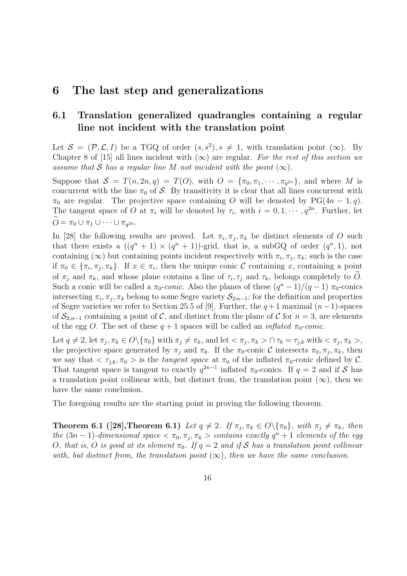## 6 The last step and generalizations

## 6.1 Translation generalized quadrangles containing a regular line not incident with the translation point

Let  $S = (\mathcal{P}, \mathcal{L}, I)$  be a TGQ of order  $(s, s^2), s \neq 1$ , with translation point  $(\infty)$ . By Chapter 8 of [15] all lines incident with  $(\infty)$  are regular. For the rest of this section we assume that S has a regular line M not incident with the point  $(\infty)$ .

Suppose that  $S = T(n, 2n, q) = T(O)$ , with  $O = {\pi_0, \pi_1, \cdots, \pi_{q^{2n}}}$ , and where M is concurrent with the line  $\pi_0$  of S. By transitivity it is clear that all lines concurrent with  $\pi_0$  are regular. The projective space containing O will be denoted by PG(4n – 1,q). The tangent space of O at  $\pi_i$  will be denoted by  $\tau_i$ , with  $i = 0, 1, \dots, q^{2n}$ . Further, let  $\stackrel{\sim}{O} = \pi_0 \cup \pi_1 \cup \cdots \cup \pi_{q^{2n}}.$ 

In [28] the following results are proved. Let  $\pi_i, \pi_j, \pi_k$  be distinct elements of O such that there exists a  $((q^{n} + 1) \times (q^{n} + 1))$ -grid, that is, a subGQ of order  $(q^{n}, 1)$ , not containing ( $\infty$ ) but containing points incident respectively with  $\pi_i, \pi_j, \pi_k$ ; such is the case if  $\pi_0 \in {\pi_i, \pi_j, \pi_k}$ . If  $x \in \pi_i$ , then the unique conic C containing x, containing a point of  $\pi_j$  and  $\pi_k$ , and whose plane contains a line of  $\tau_i, \tau_j$  and  $\tau_k$ , belongs completely to O. Such a conic will be called a  $\pi_0$ -conic. Also the planes of these  $(q^n - 1)/(q - 1)$   $\pi_0$ -conics intersecting  $\pi_i$ ,  $\pi_j$ ,  $\pi_k$  belong to some Segre variety  $\mathcal{S}_{2:n-1}$ ; for the definition and properties of Segre varieties we refer to Section 25.5 of [9]. Further, the  $q + 1$  maximal  $(n - 1)$ -spaces of  $\mathcal{S}_{2;n-1}$  containing a point of C, and distinct from the plane of C for  $n=3$ , are elements of the egg O. The set of these  $q + 1$  spaces will be called an *inflated*  $\pi_0$ -conic.

Let  $q \neq 2$ , let  $\pi_i, \pi_k \in O\setminus {\pi_0}$  with  $\pi_j \neq \pi_k$ , and let  $\lt \pi_j, \pi_k > \cap \tau_0 = \tau_{j,k}$  with  $\lt \pi_j, \pi_k >$ , the projective space generated by  $\pi_j$  and  $\pi_k$ . If the  $\pi_0$ -conic C intersects  $\pi_0, \pi_j, \pi_k$ , then we say that  $\langle \tau_{i,k}, \pi_0 \rangle$  is the *tangent space* at  $\pi_0$  of the inflated  $\pi_0$ -conic defined by C. That tangent space is tangent to exactly  $q^{2n-1}$  inflated  $\pi_0$ -conics. If  $q = 2$  and if S has a translation point collinear with, but distinct from, the translation point  $(\infty)$ , then we have the same conclusion.

The foregoing results are the starting point in proving the following theorem.

**Theorem 6.1 ([28],Theorem 6.1)** Let  $q \neq 2$ . If  $\pi_j, \pi_k \in O\backslash {\{\pi_0\}}$ , with  $\pi_j \neq \pi_k$ , then the  $(3n-1)$ -dimensional space  $\langle \pi_0, \pi_j, \pi_k \rangle$  contains exactly  $q^n + 1$  elements of the egg O, that is, O is good at its element  $\pi_0$ . If  $q = 2$  and if S has a translation point collinear with, but distinct from, the translation point  $(\infty)$ , then we have the same conclusion.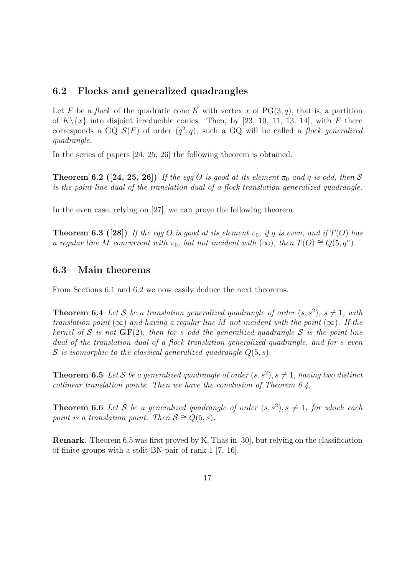#### 6.2 Flocks and generalized quadrangles

Let F be a flock of the quadratic cone K with vertex x of  $PG(3, q)$ , that is, a partition of  $K \setminus \{x\}$  into disjoint irreducible conics. Then, by [23, 10, 11, 13, 14], with F there corresponds a GQ  $\mathcal{S}(F)$  of order  $(q^2, q)$ ; such a GQ will be called a flock generalized quadrangle.

In the series of papers [24, 25, 26] the following theorem is obtained.

**Theorem 6.2** ([24, 25, 26]) If the eqg O is good at its element  $\pi_0$  and q is odd, then S is the point-line dual of the translation dual of a flock translation generalized quadrangle.

In the even case, relying on [27], we can prove the following theorem.

**Theorem 6.3 ([28])** If the egg O is good at its element  $\pi_0$ , if q is even, and if  $T(O)$  has a regular line M concurrent with  $\pi_0$ , but not incident with  $(\infty)$ , then  $T(O) \cong Q(5, q^n)$ .

#### 6.3 Main theorems

From Sections 6.1 and 6.2 we now easily deduce the next theorems.

**Theorem 6.4** Let S be a translation generalized quadrangle of order  $(s, s^2)$ ,  $s \neq 1$ , with translation point ( $\infty$ ) and having a regular line M not incident with the point ( $\infty$ ). If the kernel of S is not  $GF(2)$ , then for s odd the generalized quadrangle S is the point-line dual of the translation dual of a flock translation generalized quadrangle, and for s even S is isomorphic to the classical generalized quadrangle  $Q(5, s)$ .

**Theorem 6.5** Let S be a generalized quadrangle of order  $(s, s^2)$ ,  $s \neq 1$ , having two distinct collinear translation points. Then we have the conclusion of Theorem 6.4.

**Theorem 6.6** Let S be a generalized quadrangle of order  $(s, s^2)$ ,  $s \neq 1$ , for which each point is a translation point. Then  $S \cong Q(5, s)$ .

Remark. Theorem 6.5 was first proved by K. Thas in [30], but relying on the classification of finite groups with a split BN-pair of rank 1 [7, 16].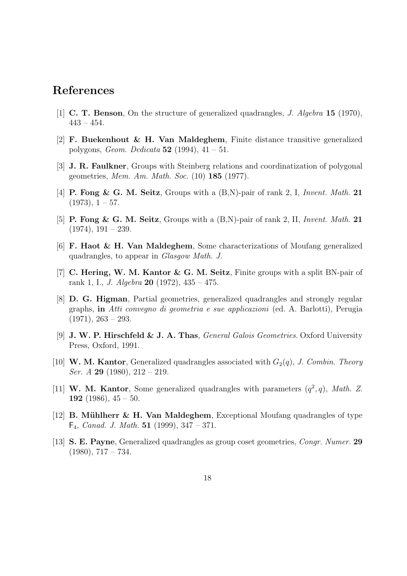# References

- [1] C. T. Benson, On the structure of generalized quadrangles, J. Algebra 15 (1970),  $443 - 454.$
- [2] F. Buekenhout & H. Van Maldeghem, Finite distance transitive generalized polygons, *Geom. Dedicata*  $52$  (1994),  $41 - 51$ .
- [3] J. R. Faulkner, Groups with Steinberg relations and coordinatization of polygonal geometries, Mem. Am. Math. Soc. (10) 185 (1977).
- [4] **P. Fong & G. M. Seitz**, Groups with a  $(B,N)$ -pair of rank 2, I, Invent. Math. 21  $(1973), 1 - 57.$
- [5] **P. Fong & G. M. Seitz**, Groups with a  $(B,N)$ -pair of rank 2, II, *Invent. Math.* 21  $(1974), 191 - 239.$
- [6] F. Haot & H. Van Maldeghem, Some characterizations of Moufang generalized quadrangles, to appear in Glasgow Math. J.
- [7] C. Hering, W. M. Kantor & G. M. Seitz, Finite groups with a split BN-pair of rank 1, I., *J. Algebra* **20** (1972),  $435 - 475$ .
- [8] D. G. Higman, Partial geometries, generalized quadrangles and strongly regular graphs, in Atti convegno di geometria e sue applicazioni (ed. A. Barlotti), Perugia  $(1971), 263 - 293.$
- [9] J. W. P. Hirschfeld & J. A. Thas, General Galois Geometries. Oxford University Press, Oxford, 1991.
- [10] W. M. Kantor, Generalized quadrangles associated with  $G_2(q)$ , J. Combin. Theory Ser. A 29 (1980),  $212 - 219$ .
- [11] W. M. Kantor, Some generalized quadrangles with parameters  $(q^2, q)$ , Math. Z. 192 (1986),  $45 - 50$ .
- [12] **B. Mühlherr & H. Van Maldeghem**, Exceptional Moufang quadrangles of type  $F_4$ , *Canad. J. Math.* **51** (1999), 347 – 371.
- [13] S. E. Payne, Generalized quadrangles as group coset geometries, Congr. Numer. 29  $(1980), 717 - 734.$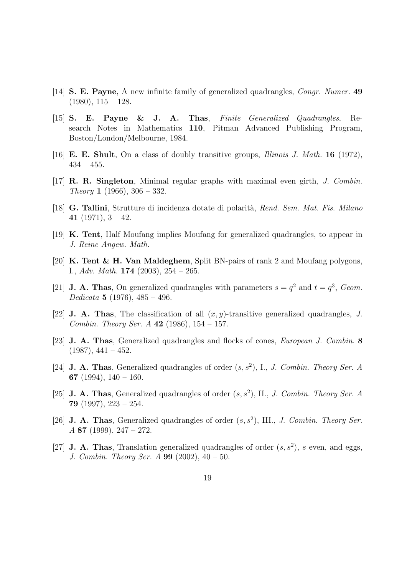- [14] S. E. Payne, A new infinite family of generalized quadrangles, Congr. Numer. 49  $(1980), 115 - 128.$
- [15] S. E. Payne & J. A. Thas, Finite Generalized Quadrangles, Research Notes in Mathematics 110, Pitman Advanced Publishing Program, Boston/London/Melbourne, 1984.
- [16] **E. E. Shult**, On a class of doubly transitive groups, *Illinois J. Math.* **16** (1972),  $434 - 455$ .
- $[17]$  R. R. Singleton, Minimal regular graphs with maximal even girth, *J. Combin. Theory* **1** (1966),  $306 - 332$ .
- [18] G. Tallini, Strutture di incidenza dotate di polarità, Rend. Sem. Mat. Fis. Milano 41 (1971),  $3 - 42$ .
- [19] K. Tent, Half Moufang implies Moufang for generalized quadrangles, to appear in J. Reine Angew. Math.
- [20] K. Tent & H. Van Maldeghem, Split BN-pairs of rank 2 and Moufang polygons, I., Adv. Math.  $174$  (2003),  $254 - 265$ .
- [21] **J. A. Thas**, On generalized quadrangles with parameters  $s = q^2$  and  $t = q^3$ , Geom. Dedicata 5 (1976),  $485 - 496$ .
- [22] **J. A. Thas**, The classification of all  $(x, y)$ -transitive generalized quadrangles, J. Combin. Theory Ser. A 42 (1986),  $154 - 157$ .
- [23] J. A. Thas, Generalized quadrangles and flocks of cones, European J. Combin. 8  $(1987), 441 - 452.$
- [24] **J. A. Thas**, Generalized quadrangles of order  $(s, s^2)$ , I., *J. Combin. Theory Ser. A* 67 (1994),  $140 - 160$ .
- [25] **J. A. Thas**, Generalized quadrangles of order  $(s, s^2)$ , II., *J. Combin. Theory Ser. A* 79 (1997), 223 – 254.
- [26] **J. A. Thas**, Generalized quadrangles of order  $(s, s^2)$ , III., *J. Combin. Theory Ser.* A 87 (1999), 247 – 272.
- [27] **J. A. Thas**, Translation generalized quadrangles of order  $(s, s^2)$ , s even, and eggs, J. Combin. Theory Ser. A  $99$  (2002),  $40 - 50$ .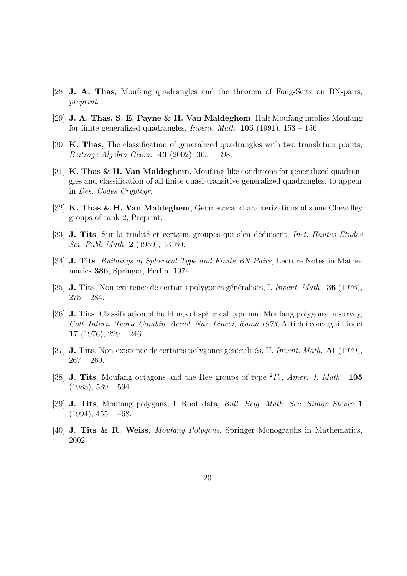- [28] J. A. Thas, Moufang quadrangles and the theorem of Fong-Seitz on BN-pairs, preprint.
- [29] J. A. Thas, S. E. Payne & H. Van Maldeghem, Half Moufang implies Moufang for finite generalized quadrangles, *Invent. Math.* **105** (1991),  $153 - 156$ .
- [30] K. Thas, The classification of generalized quadrangles with two translation points, Beiträge Algebra Geom.  $43$  (2002), 365 – 398.
- [31] K. Thas & H. Van Maldeghem, Moufang-like conditions for generalized quadrangles and classification of all finite quasi-transitive generalized quadrangles, to appear in Des. Codes Cryptogr.
- [32] K. Thas & H. Van Maldeghem, Geometrical characterizations of some Chevalley groups of rank 2, Preprint.
- [33] **J. Tits**, Sur la trialité et certains groupes qui s'en déduisent, *Inst. Hautes Etudes* Sci. Publ. Math. 2 (1959), 13–60.
- [34] **J. Tits**, *Buildings of Spherical Type and Finite BN-Pairs*, Lecture Notes in Mathematics 386, Springer, Berlin, 1974.
- [35] **J. Tits**, Non-existence de certains polygones généralisés, I, Invent. Math. **36** (1976),  $275 - 284.$
- [36] J. Tits, Classification of buildings of spherical type and Moufang polygons: a survey, Coll. Intern. Teorie Combin. Accad. Naz. Lincei, Roma 1973, Atti dei convegni Lincei 17 (1976),  $229 - 246$ .
- [37] **J. Tits**, Non-existence de certains polygones généralisés, II, Invent. Math. 51 (1979),  $267 - 269.$
- [38] **J. Tits**, Moufang octagons and the Ree groups of type  ${}^2F_4$ , *Amer. J. Math.* 105  $(1983), 539 - 594.$
- [39] J. Tits, Moufang polygons, I. Root data, Bull. Belg. Math. Soc. Simon Stevin 1  $(1994), 455 - 468.$
- [40] **J. Tits & R. Weiss**, *Moufang Polygons*, Springer Monographs in Mathematics, 2002.